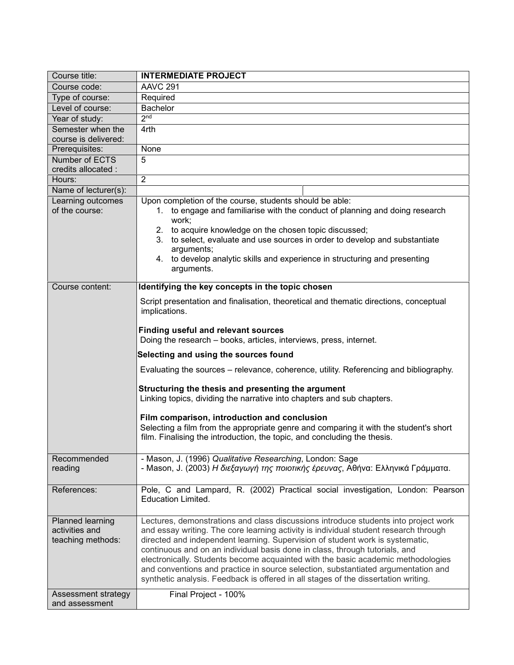| Course title:                                           | <b>INTERMEDIATE PROJECT</b>                                                                                                                                                                                                                                                                                                                                                                                                                                                                                                                                                                                |
|---------------------------------------------------------|------------------------------------------------------------------------------------------------------------------------------------------------------------------------------------------------------------------------------------------------------------------------------------------------------------------------------------------------------------------------------------------------------------------------------------------------------------------------------------------------------------------------------------------------------------------------------------------------------------|
| Course code:                                            | AAVC <sub>291</sub>                                                                                                                                                                                                                                                                                                                                                                                                                                                                                                                                                                                        |
| Type of course:                                         | Required                                                                                                                                                                                                                                                                                                                                                                                                                                                                                                                                                                                                   |
| Level of course:                                        | <b>Bachelor</b>                                                                                                                                                                                                                                                                                                                                                                                                                                                                                                                                                                                            |
| Year of study:                                          | 2 <sub>nd</sub>                                                                                                                                                                                                                                                                                                                                                                                                                                                                                                                                                                                            |
| Semester when the                                       | 4rth                                                                                                                                                                                                                                                                                                                                                                                                                                                                                                                                                                                                       |
| course is delivered:                                    |                                                                                                                                                                                                                                                                                                                                                                                                                                                                                                                                                                                                            |
| Prerequisites:                                          | None                                                                                                                                                                                                                                                                                                                                                                                                                                                                                                                                                                                                       |
| Number of ECTS                                          | 5                                                                                                                                                                                                                                                                                                                                                                                                                                                                                                                                                                                                          |
| credits allocated :                                     |                                                                                                                                                                                                                                                                                                                                                                                                                                                                                                                                                                                                            |
| Hours:                                                  | $\overline{2}$                                                                                                                                                                                                                                                                                                                                                                                                                                                                                                                                                                                             |
| Name of lecturer(s):                                    |                                                                                                                                                                                                                                                                                                                                                                                                                                                                                                                                                                                                            |
| Learning outcomes                                       | Upon completion of the course, students should be able:                                                                                                                                                                                                                                                                                                                                                                                                                                                                                                                                                    |
| of the course:                                          | 1. to engage and familiarise with the conduct of planning and doing research<br>work;<br>2. to acquire knowledge on the chosen topic discussed;<br>to select, evaluate and use sources in order to develop and substantiate<br>3.<br>arguments;                                                                                                                                                                                                                                                                                                                                                            |
|                                                         | 4. to develop analytic skills and experience in structuring and presenting<br>arguments.                                                                                                                                                                                                                                                                                                                                                                                                                                                                                                                   |
| Course content:                                         | Identifying the key concepts in the topic chosen                                                                                                                                                                                                                                                                                                                                                                                                                                                                                                                                                           |
|                                                         | Script presentation and finalisation, theoretical and thematic directions, conceptual<br>implications.<br><b>Finding useful and relevant sources</b>                                                                                                                                                                                                                                                                                                                                                                                                                                                       |
|                                                         | Doing the research – books, articles, interviews, press, internet.                                                                                                                                                                                                                                                                                                                                                                                                                                                                                                                                         |
|                                                         | Selecting and using the sources found                                                                                                                                                                                                                                                                                                                                                                                                                                                                                                                                                                      |
|                                                         | Evaluating the sources – relevance, coherence, utility. Referencing and bibliography.                                                                                                                                                                                                                                                                                                                                                                                                                                                                                                                      |
|                                                         | Structuring the thesis and presenting the argument<br>Linking topics, dividing the narrative into chapters and sub chapters.                                                                                                                                                                                                                                                                                                                                                                                                                                                                               |
|                                                         | Film comparison, introduction and conclusion                                                                                                                                                                                                                                                                                                                                                                                                                                                                                                                                                               |
|                                                         | Selecting a film from the appropriate genre and comparing it with the student's short<br>film. Finalising the introduction, the topic, and concluding the thesis.                                                                                                                                                                                                                                                                                                                                                                                                                                          |
| Recommended<br>reading                                  | - Mason, J. (1996) Qualitative Researching, London: Sage<br>- Mason, J. (2003) Η διεξαγωγή της ποιοτικής έρευνας, Αθήνα: Ελληνικά Γράμματα.                                                                                                                                                                                                                                                                                                                                                                                                                                                                |
| References:                                             | Pole, C and Lampard, R. (2002) Practical social investigation, London: Pearson<br>Education Limited.                                                                                                                                                                                                                                                                                                                                                                                                                                                                                                       |
| Planned learning<br>activities and<br>teaching methods: | Lectures, demonstrations and class discussions introduce students into project work<br>and essay writing. The core learning activity is individual student research through<br>directed and independent learning. Supervision of student work is systematic,<br>continuous and on an individual basis done in class, through tutorials, and<br>electronically. Students become acquainted with the basic academic methodologies<br>and conventions and practice in source selection, substantiated argumentation and<br>synthetic analysis. Feedback is offered in all stages of the dissertation writing. |
| Assessment strategy                                     | Final Project - 100%                                                                                                                                                                                                                                                                                                                                                                                                                                                                                                                                                                                       |
| and assessment                                          |                                                                                                                                                                                                                                                                                                                                                                                                                                                                                                                                                                                                            |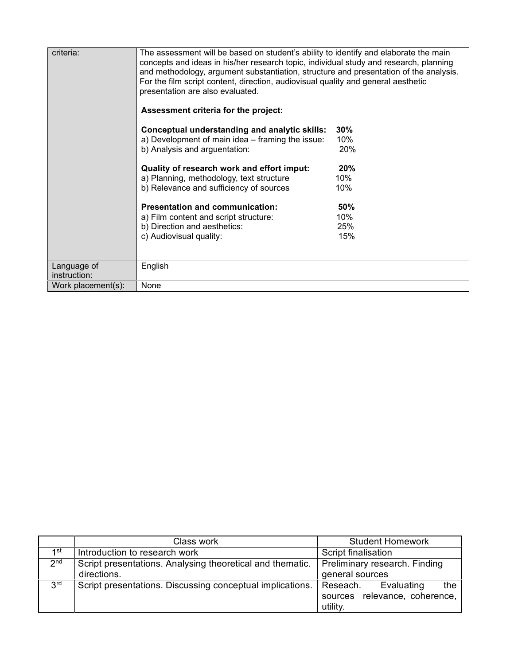| criteria:          | The assessment will be based on student's ability to identify and elaborate the main<br>concepts and ideas in his/her research topic, individual study and research, planning<br>and methodology, argument substantiation, structure and presentation of the analysis.<br>For the film script content, direction, audiovisual quality and general aesthetic<br>presentation are also evaluated.<br>Assessment criteria for the project: |     |  |
|--------------------|-----------------------------------------------------------------------------------------------------------------------------------------------------------------------------------------------------------------------------------------------------------------------------------------------------------------------------------------------------------------------------------------------------------------------------------------|-----|--|
|                    | Conceptual understanding and analytic skills:                                                                                                                                                                                                                                                                                                                                                                                           | 30% |  |
|                    | a) Development of main idea – framing the issue:                                                                                                                                                                                                                                                                                                                                                                                        | 10% |  |
|                    | b) Analysis and arguentation:                                                                                                                                                                                                                                                                                                                                                                                                           | 20% |  |
|                    | Quality of research work and effort imput:                                                                                                                                                                                                                                                                                                                                                                                              | 20% |  |
|                    | a) Planning, methodology, text structure                                                                                                                                                                                                                                                                                                                                                                                                | 10% |  |
|                    | b) Relevance and sufficiency of sources                                                                                                                                                                                                                                                                                                                                                                                                 | 10% |  |
|                    | <b>Presentation and communication:</b>                                                                                                                                                                                                                                                                                                                                                                                                  | 50% |  |
|                    | a) Film content and script structure:                                                                                                                                                                                                                                                                                                                                                                                                   | 10% |  |
|                    | b) Direction and aesthetics:                                                                                                                                                                                                                                                                                                                                                                                                            | 25% |  |
|                    | c) Audiovisual quality:                                                                                                                                                                                                                                                                                                                                                                                                                 | 15% |  |
|                    |                                                                                                                                                                                                                                                                                                                                                                                                                                         |     |  |
| Language of        | English                                                                                                                                                                                                                                                                                                                                                                                                                                 |     |  |
| instruction:       |                                                                                                                                                                                                                                                                                                                                                                                                                                         |     |  |
| Work placement(s): | None                                                                                                                                                                                                                                                                                                                                                                                                                                    |     |  |

|                 | Class work                                                | <b>Student Homework</b>          |
|-----------------|-----------------------------------------------------------|----------------------------------|
| 1st             | Introduction to research work                             | Script finalisation              |
| 2 <sub>nd</sub> | Script presentations. Analysing theoretical and thematic. | Preliminary research. Finding    |
|                 | directions.                                               | general sources                  |
| 3 <sup>rd</sup> | Script presentations. Discussing conceptual implications. | Evaluating<br>the<br>Reseach.    |
|                 |                                                           | relevance, coherence,<br>sources |
|                 |                                                           | utility.                         |